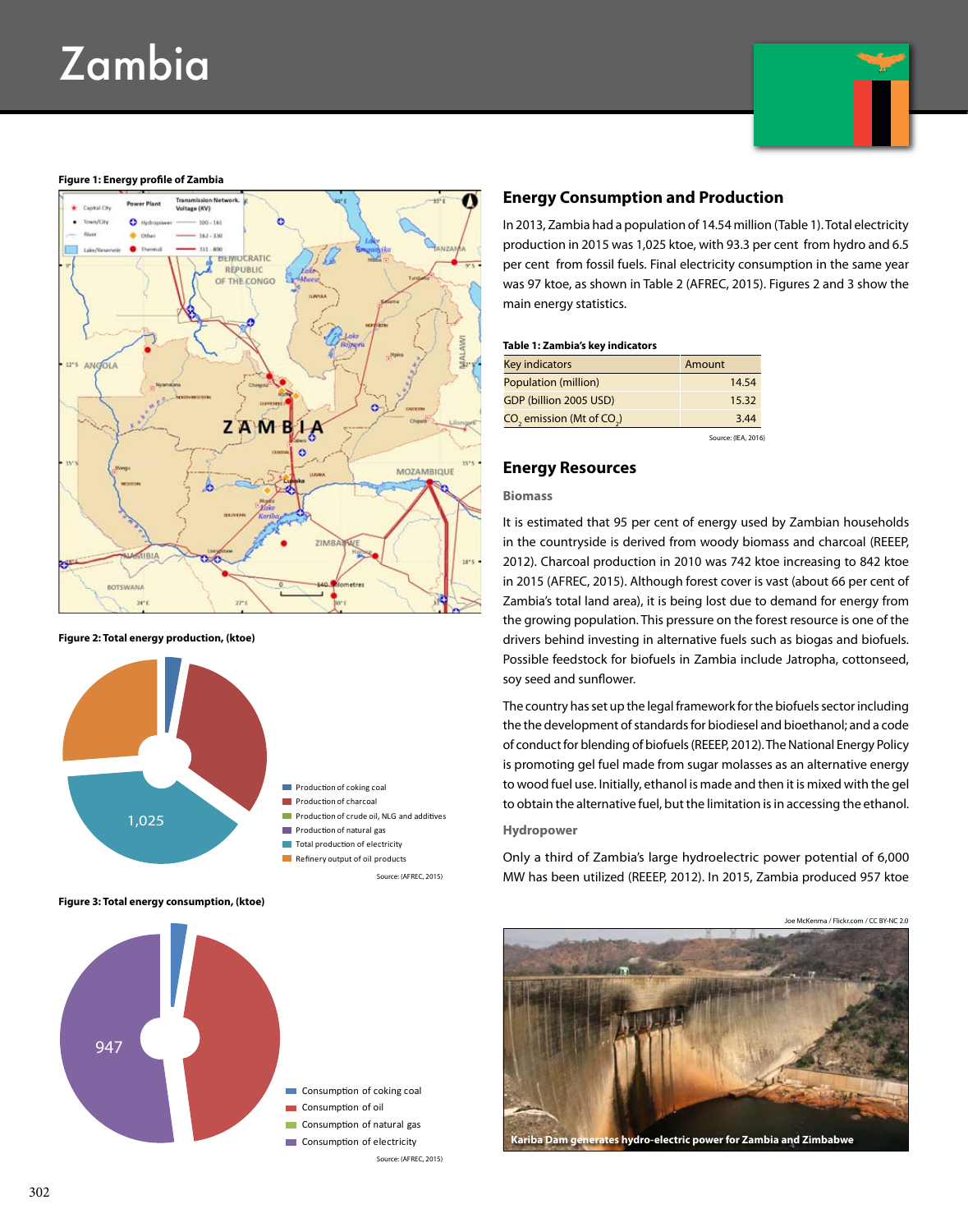# Zambia



#### **Figure 1: Energy profile of Zambia**



#### **Figure 2: Total energy production, (ktoe)**



**Figure 3: Total energy consumption, (ktoe)**



# **Energy Consumption and Production**

In 2013, Zambia had a population of 14.54 million (Table 1). Total electricity production in 2015 was 1,025 ktoe, with 93.3 per cent from hydro and 6.5 per cent from fossil fuels. Final electricity consumption in the same year was 97 ktoe, as shown in Table 2 (AFREC, 2015). Figures 2 and 3 show the main energy statistics.

#### **Table 1: Zambia's key indicators**

| Key indicators                | Amount |
|-------------------------------|--------|
| Population (million)          | 14.54  |
| GDP (billion 2005 USD)        | 15.32  |
| $CO2$ emission (Mt of $CO2$ ) | 3.44   |
|                               |        |

Source: (IEA, 2016)

# **Energy Resources**

#### **Biomass**

It is estimated that 95 per cent of energy used by Zambian households in the countryside is derived from woody biomass and charcoal (REEEP, 2012). Charcoal production in 2010 was 742 ktoe increasing to 842 ktoe in 2015 (AFREC, 2015). Although forest cover is vast (about 66 per cent of Zambia's total land area), it is being lost due to demand for energy from the growing population. This pressure on the forest resource is one of the drivers behind investing in alternative fuels such as biogas and biofuels. Possible feedstock for biofuels in Zambia include Jatropha, cottonseed, soy seed and sunflower.

The country has set up the legal framework for the biofuels sector including the the development of standards for biodiesel and bioethanol; and a code of conduct for blending of biofuels (REEEP, 2012). The National Energy Policy is promoting gel fuel made from sugar molasses as an alternative energy to wood fuel use. Initially, ethanol is made and then it is mixed with the gel to obtain the alternative fuel, but the limitation is in accessing the ethanol.

## **Hydropower**

Only a third of Zambia's large hydroelectric power potential of 6,000 MW has been utilized (REEEP, 2012). In 2015, Zambia produced 957 ktoe



**Kariba Dam generates hydro-electric power for Zambia and Zimbabwe**

Source: (AFREC, 2015)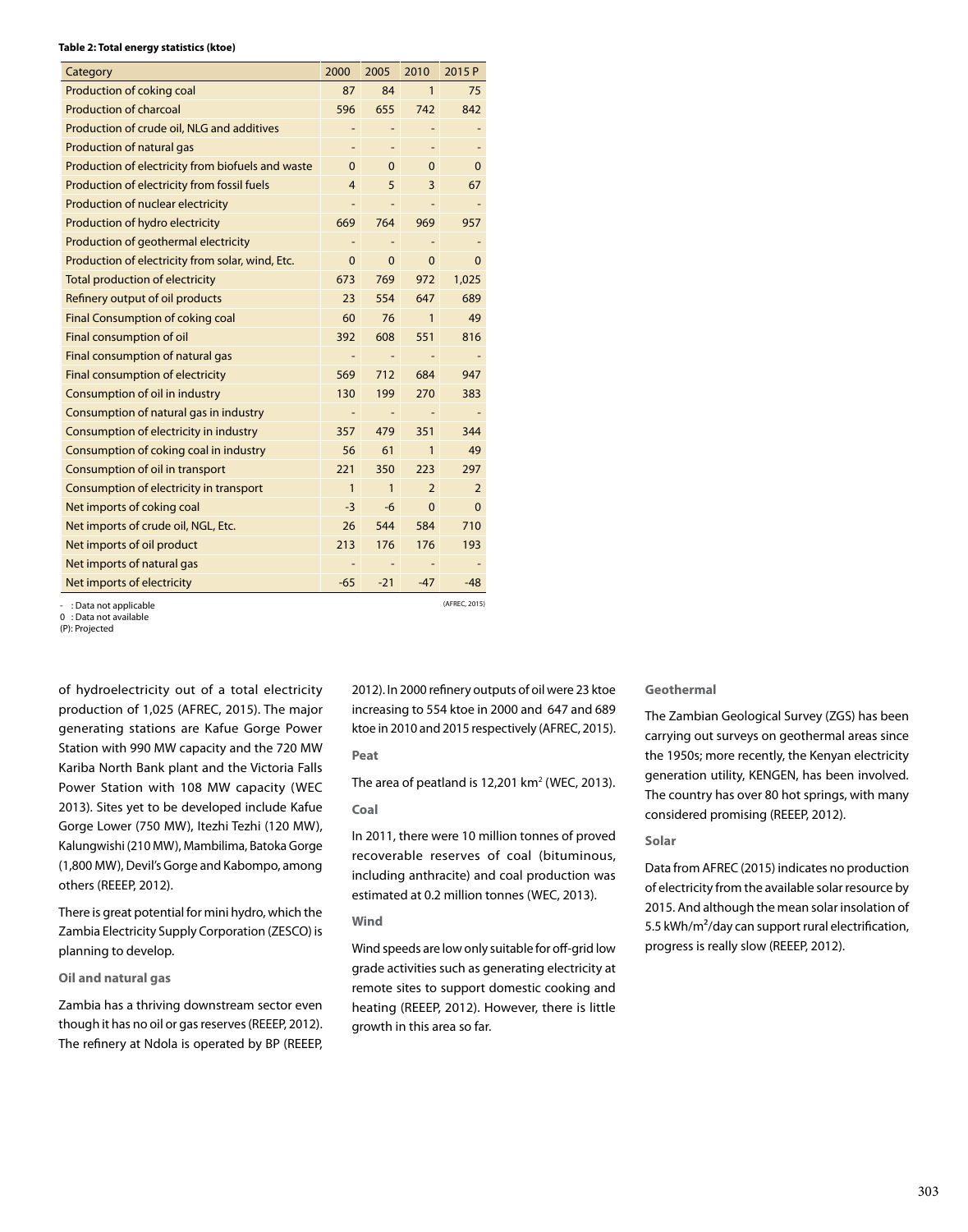#### **Table 2: Total energy statistics (ktoe)**

| Category                                          | 2000           | 2005         | 2010              | 2015 P         |
|---------------------------------------------------|----------------|--------------|-------------------|----------------|
| Production of coking coal                         | 87             | 84           | $\mathbf{1}$      | 75             |
| <b>Production of charcoal</b>                     | 596            | 655          | 742               | 842            |
| Production of crude oil, NLG and additives        |                |              |                   |                |
| Production of natural gas                         |                |              |                   |                |
| Production of electricity from biofuels and waste | $\mathbf{0}$   | $\mathbf 0$  | $\Omega$          | 0              |
| Production of electricity from fossil fuels       | 4              | 5            | 3                 | 67             |
| Production of nuclear electricity                 |                |              |                   |                |
| Production of hydro electricity                   | 669            | 764          | 969               | 957            |
| Production of geothermal electricity              | $\overline{a}$ |              |                   |                |
| Production of electricity from solar, wind, Etc.  | $\mathbf{0}$   | $\Omega$     | $\mathbf{0}$      | 0              |
| <b>Total production of electricity</b>            | 673            | 769          | 972               | 1,025          |
| Refinery output of oil products                   | 23             | 554          | 647               | 689            |
| <b>Final Consumption of coking coal</b>           | 60             | 76           | 1                 | 49             |
| Final consumption of oil                          | 392            | 608          | 551               | 816            |
| Final consumption of natural gas                  | -              |              | $\qquad \qquad -$ |                |
| Final consumption of electricity                  | 569            | 712          | 684               | 947            |
| Consumption of oil in industry                    | 130            | 199          | 270               | 383            |
| Consumption of natural gas in industry            | -              | -            | ÷                 |                |
| Consumption of electricity in industry            | 357            | 479          | 351               | 344            |
| Consumption of coking coal in industry            | 56             | 61           | 1                 | 49             |
| Consumption of oil in transport                   | 221            | 350          | 223               | 297            |
| Consumption of electricity in transport           | $\mathbf{1}$   | $\mathbf{1}$ | $\overline{2}$    | $\overline{2}$ |
| Net imports of coking coal                        | $-3$           | -6           | $\mathbf{0}$      | $\Omega$       |
| Net imports of crude oil, NGL, Etc.               | 26             | 544          | 584               | 710            |
| Net imports of oil product                        | 213            | 176          | 176               | 193            |
| Net imports of natural gas                        |                |              |                   |                |
| Net imports of electricity                        | $-65$          | $-21$        | $-47$             | $-48$          |
| : Data not applicable                             |                |              |                   | (AFREC, 2015)  |

- : Data not applicable 0 : Data not available

(P): Projected

of hydroelectricity out of a total electricity production of 1,025 (AFREC, 2015). The major generating stations are Kafue Gorge Power Station with 990 MW capacity and the 720 MW Kariba North Bank plant and the Victoria Falls Power Station with 108 MW capacity (WEC 2013). Sites yet to be developed include Kafue Gorge Lower (750 MW), Itezhi Tezhi (120 MW), Kalungwishi (210 MW), Mambilima, Batoka Gorge (1,800 MW), Devil's Gorge and Kabompo, among others (REEEP, 2012).

There is great potential for mini hydro, which the Zambia Electricity Supply Corporation (ZESCO) is planning to develop.

# **Oil and natural gas**

Zambia has a thriving downstream sector even though it has no oil or gas reserves (REEEP, 2012). The refinery at Ndola is operated by BP (REEEP, 2012). In 2000 refinery outputs of oil were 23 ktoe increasing to 554 ktoe in 2000 and 647 and 689 ktoe in 2010 and 2015 respectively (AFREC, 2015).

#### **Peat**

The area of peatland is  $12,201$  km<sup>2</sup> (WEC, 2013).

# **Coal**

In 2011, there were 10 million tonnes of proved recoverable reserves of coal (bituminous, including anthracite) and coal production was estimated at 0.2 million tonnes (WEC, 2013).

## **Wind**

Wind speeds are low only suitable for off-grid low grade activities such as generating electricity at remote sites to support domestic cooking and heating (REEEP, 2012). However, there is little growth in this area so far.

# **Geothermal**

The Zambian Geological Survey (ZGS) has been carrying out surveys on geothermal areas since the 1950s; more recently, the Kenyan electricity generation utility, KENGEN, has been involved. The country has over 80 hot springs, with many considered promising (REEEP, 2012).

## **Solar**

Data from AFREC (2015) indicates no production of electricity from the available solar resource by 2015. And although the mean solar insolation of 5.5 kWh/m<sup>2</sup>/day can support rural electrification, progress is really slow (REEEP, 2012).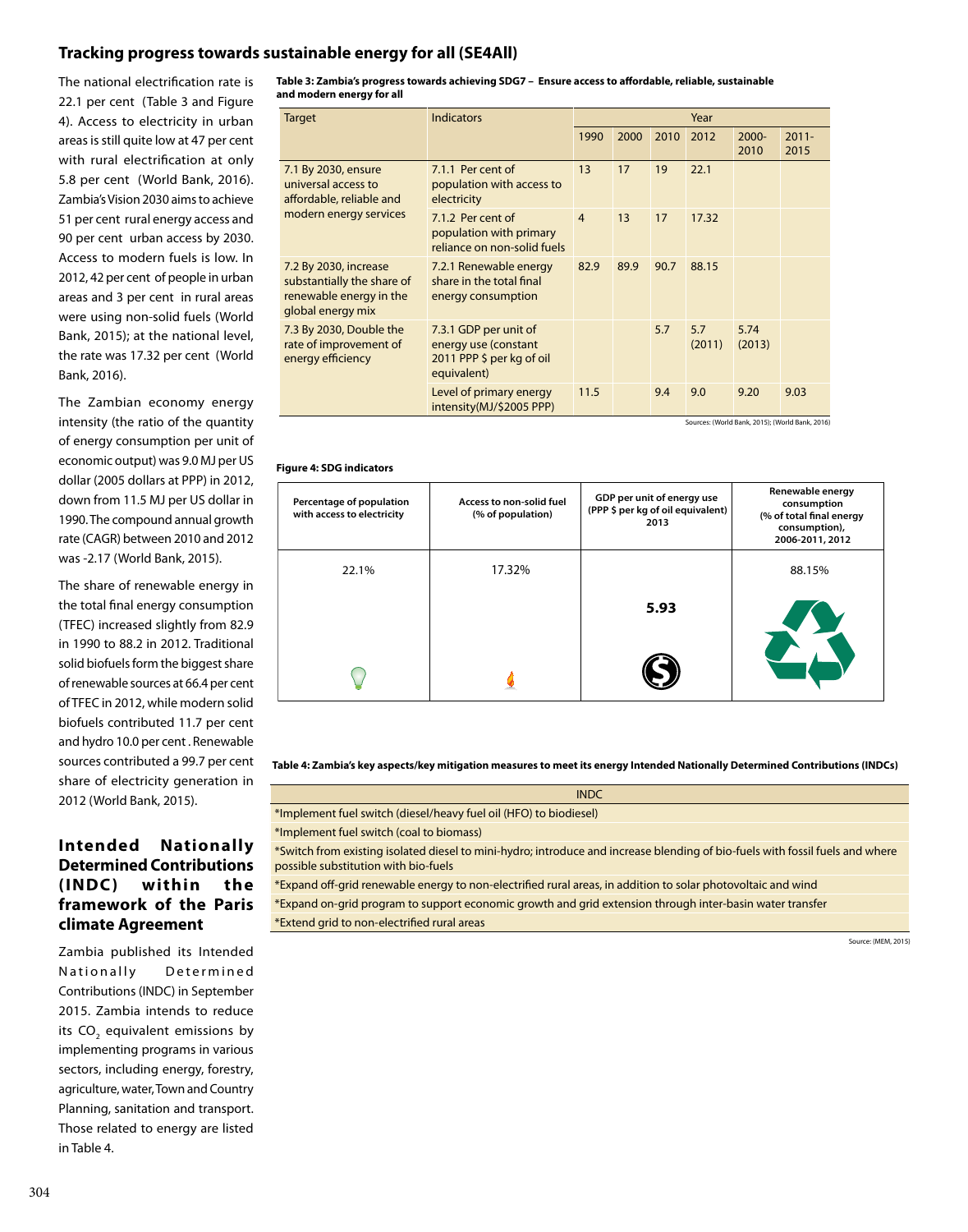# **Tracking progress towards sustainable energy for all (SE4All)**

The national electrification rate is 22.1 per cent (Table 3 and Figure 4). Access to electricity in urban areas is still quite low at 47 per cent with rural electrification at only 5.8 per cent (World Bank, 2016). Zambia's Vision 2030 aims to achieve 51 per cent rural energy access and 90 per cent urban access by 2030. Access to modern fuels is low. In 2012, 42 per cent of people in urban areas and 3 per cent in rural areas were using non-solid fuels (World Bank, 2015); at the national level, the rate was 17.32 per cent (World Bank, 2016).

The Zambian economy energy intensity (the ratio of the quantity of energy consumption per unit of economic output) was 9.0 MJ per US dollar (2005 dollars at PPP) in 2012, down from 11.5 MJ per US dollar in 1990. The compound annual growth rate (CAGR) between 2010 and 2012 was -2.17 (World Bank, 2015).

The share of renewable energy in the total final energy consumption (TFEC) increased slightly from 82.9 in 1990 to 88.2 in 2012. Traditional solid biofuels form the biggest share of renewable sources at 66.4 per cent of TFEC in 2012, while modern solid biofuels contributed 11.7 per cent and hydro 10.0 per cent . Renewable sources contributed a 99.7 per cent share of electricity generation in 2012 (World Bank, 2015).

# **Intended Nationally Determined Contributions (INDC) within the framework of the Paris climate Agreement**

Zambia published its Intended Nationally Determined Contributions (INDC) in September 2015. Zambia intends to reduce its CO<sub>2</sub> equivalent emissions by implementing programs in various sectors, including energy, forestry, agriculture, water, Town and Country Planning, sanitation and transport. Those related to energy are listed in Table 4.

**Table 3: Zambia's progress towards achieving SDG7 – Ensure access to affordable, reliable, sustainable and modern energy for all**

| Target                                                                                              | <b>Indicators</b>                                                                         | Year           |      |      |               |                  |                                                         |
|-----------------------------------------------------------------------------------------------------|-------------------------------------------------------------------------------------------|----------------|------|------|---------------|------------------|---------------------------------------------------------|
|                                                                                                     |                                                                                           | 1990           | 2000 | 2010 | 2012          | $2000 -$<br>2010 | $2011 -$<br>2015                                        |
| 7.1 By 2030, ensure<br>universal access to<br>affordable, reliable and                              | 7.1.1 Per cent of<br>population with access to<br>electricity                             | 13             | 17   | 19   | 22.1          |                  |                                                         |
| modern energy services                                                                              | 7.1.2 Per cent of<br>population with primary<br>reliance on non-solid fuels               | $\overline{4}$ | 13   | 17   | 17.32         |                  |                                                         |
| 7.2 By 2030, increase<br>substantially the share of<br>renewable energy in the<br>global energy mix | 7.2.1 Renewable energy<br>share in the total final<br>energy consumption                  | 82.9           | 89.9 | 90.7 | 88.15         |                  |                                                         |
| 7.3 By 2030, Double the<br>rate of improvement of<br>energy efficiency                              | 7.3.1 GDP per unit of<br>energy use (constant<br>2011 PPP \$ per kg of oil<br>equivalent) |                |      | 5.7  | 5.7<br>(2011) | 5.74<br>(2013)   |                                                         |
|                                                                                                     | Level of primary energy<br>intensity(MJ/\$2005 PPP)                                       | 11.5           |      | 9.4  | 9.0           | 9.20             | 9.03<br>Sources: (World Bank, 2015); (World Bank, 2016) |

# **Figure 4: SDG indicators**

| Percentage of population<br>with access to electricity | Access to non-solid fuel<br>(% of population) | GDP per unit of energy use<br>(PPP \$ per kg of oil equivalent)<br>2013 | Renewable energy<br>consumption<br>(% of total final energy<br>consumption),<br>2006-2011, 2012 |
|--------------------------------------------------------|-----------------------------------------------|-------------------------------------------------------------------------|-------------------------------------------------------------------------------------------------|
| 22.1%                                                  | 17.32%                                        |                                                                         | 88.15%                                                                                          |
|                                                        |                                               | 5.93                                                                    |                                                                                                 |
|                                                        |                                               |                                                                         |                                                                                                 |

**Table 4: Zambia's key aspects/key mitigation measures to meet its energy Intended Nationally Determined Contributions (INDCs)**

| <b>INDC</b>                                                                                                                                                           |
|-----------------------------------------------------------------------------------------------------------------------------------------------------------------------|
| *Implement fuel switch (diesel/heavy fuel oil (HFO) to biodiesel)                                                                                                     |
| *Implement fuel switch (coal to biomass)                                                                                                                              |
| *Switch from existing isolated diesel to mini-hydro; introduce and increase blending of bio-fuels with fossil fuels and where<br>possible substitution with bio-fuels |
| *Expand off-grid renewable energy to non-electrified rural areas, in addition to solar photovoltaic and wind                                                          |
| *Expand on-grid program to support economic growth and grid extension through inter-basin water transfer                                                              |

\*Extend grid to non-electrified rural areas

Source: (MEM, 2015)